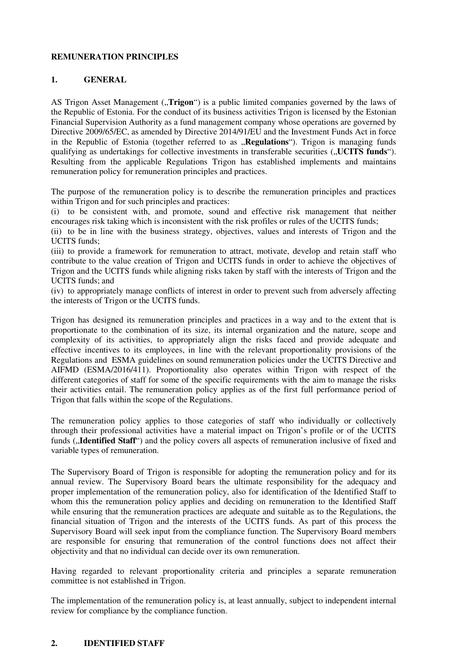## **REMUNERATION PRINCIPLES**

# **1. GENERAL**

AS Trigon Asset Management ("**Trigon**") is a public limited companies governed by the laws of the Republic of Estonia. For the conduct of its business activities Trigon is licensed by the Estonian Financial Supervision Authority as a fund management company whose operations are governed by Directive 2009/65/EC, as amended by Directive 2014/91/EU and the Investment Funds Act in force in the Republic of Estonia (together referred to as **"Regulations**"). Trigon is managing funds qualifying as undertakings for collective investments in transferable securities ("**UCITS funds**"). Resulting from the applicable Regulations Trigon has established implements and maintains remuneration policy for remuneration principles and practices.

The purpose of the remuneration policy is to describe the remuneration principles and practices within Trigon and for such principles and practices:

(i) to be consistent with, and promote, sound and effective risk management that neither encourages risk taking which is inconsistent with the risk profiles or rules of the UCITS funds;

(ii) to be in line with the business strategy, objectives, values and interests of Trigon and the UCITS funds;

(iii) to provide a framework for remuneration to attract, motivate, develop and retain staff who contribute to the value creation of Trigon and UCITS funds in order to achieve the objectives of Trigon and the UCITS funds while aligning risks taken by staff with the interests of Trigon and the UCITS funds; and

(iv) to appropriately manage conflicts of interest in order to prevent such from adversely affecting the interests of Trigon or the UCITS funds.

Trigon has designed its remuneration principles and practices in a way and to the extent that is proportionate to the combination of its size, its internal organization and the nature, scope and complexity of its activities, to appropriately align the risks faced and provide adequate and effective incentives to its employees, in line with the relevant proportionality provisions of the Regulations and ESMA guidelines on sound remuneration policies under the UCITS Directive and AIFMD (ESMA/2016/411). Proportionality also operates within Trigon with respect of the different categories of staff for some of the specific requirements with the aim to manage the risks their activities entail. The remuneration policy applies as of the first full performance period of Trigon that falls within the scope of the Regulations.

The remuneration policy applies to those categories of staff who individually or collectively through their professional activities have a material impact on Trigon's profile or of the UCITS funds ("**Identified Staff**") and the policy covers all aspects of remuneration inclusive of fixed and variable types of remuneration.

The Supervisory Board of Trigon is responsible for adopting the remuneration policy and for its annual review. The Supervisory Board bears the ultimate responsibility for the adequacy and proper implementation of the remuneration policy, also for identification of the Identified Staff to whom this the remuneration policy applies and deciding on remuneration to the Identified Staff while ensuring that the remuneration practices are adequate and suitable as to the Regulations, the financial situation of Trigon and the interests of the UCITS funds. As part of this process the Supervisory Board will seek input from the compliance function. The Supervisory Board members are responsible for ensuring that remuneration of the control functions does not affect their objectivity and that no individual can decide over its own remuneration.

Having regarded to relevant proportionality criteria and principles a separate remuneration committee is not established in Trigon.

The implementation of the remuneration policy is, at least annually, subject to independent internal review for compliance by the compliance function.

#### **2. IDENTIFIED STAFF**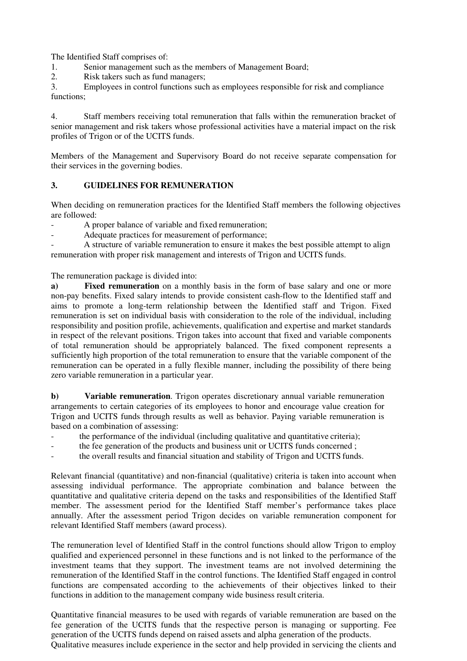The Identified Staff comprises of:<br>1 Senior management such

Senior management such as the members of Management Board;

2. Risk takers such as fund managers;

3. Employees in control functions such as employees responsible for risk and compliance functions;

4. Staff members receiving total remuneration that falls within the remuneration bracket of senior management and risk takers whose professional activities have a material impact on the risk profiles of Trigon or of the UCITS funds.

Members of the Management and Supervisory Board do not receive separate compensation for their services in the governing bodies.

## **3. GUIDELINES FOR REMUNERATION**

When deciding on remuneration practices for the Identified Staff members the following objectives are followed:

A proper balance of variable and fixed remuneration;

Adequate practices for measurement of performance;

A structure of variable remuneration to ensure it makes the best possible attempt to align remuneration with proper risk management and interests of Trigon and UCITS funds.

The remuneration package is divided into:

**a) Fixed remuneration** on a monthly basis in the form of base salary and one or more non-pay benefits. Fixed salary intends to provide consistent cash-flow to the Identified staff and aims to promote a long-term relationship between the Identified staff and Trigon. Fixed remuneration is set on individual basis with consideration to the role of the individual, including responsibility and position profile, achievements, qualification and expertise and market standards in respect of the relevant positions. Trigon takes into account that fixed and variable components of total remuneration should be appropriately balanced. The fixed component represents a sufficiently high proportion of the total remuneration to ensure that the variable component of the remuneration can be operated in a fully flexible manner, including the possibility of there being zero variable remuneration in a particular year.

**b**) **Variable remuneration**. Trigon operates discretionary annual variable remuneration arrangements to certain categories of its employees to honor and encourage value creation for Trigon and UCITS funds through results as well as behavior. Paying variable remuneration is based on a combination of assessing:

- the performance of the individual (including qualitative and quantitative criteria);
- the fee generation of the products and business unit or UCITS funds concerned;
- the overall results and financial situation and stability of Trigon and UCITS funds.

Relevant financial (quantitative) and non-financial (qualitative) criteria is taken into account when assessing individual performance. The appropriate combination and balance between the quantitative and qualitative criteria depend on the tasks and responsibilities of the Identified Staff member. The assessment period for the Identified Staff member's performance takes place annually. After the assessment period Trigon decides on variable remuneration component for relevant Identified Staff members (award process).

The remuneration level of Identified Staff in the control functions should allow Trigon to employ qualified and experienced personnel in these functions and is not linked to the performance of the investment teams that they support. The investment teams are not involved determining the remuneration of the Identified Staff in the control functions. The Identified Staff engaged in control functions are compensated according to the achievements of their objectives linked to their functions in addition to the management company wide business result criteria.

Quantitative financial measures to be used with regards of variable remuneration are based on the fee generation of the UCITS funds that the respective person is managing or supporting. Fee generation of the UCITS funds depend on raised assets and alpha generation of the products. Qualitative measures include experience in the sector and help provided in servicing the clients and